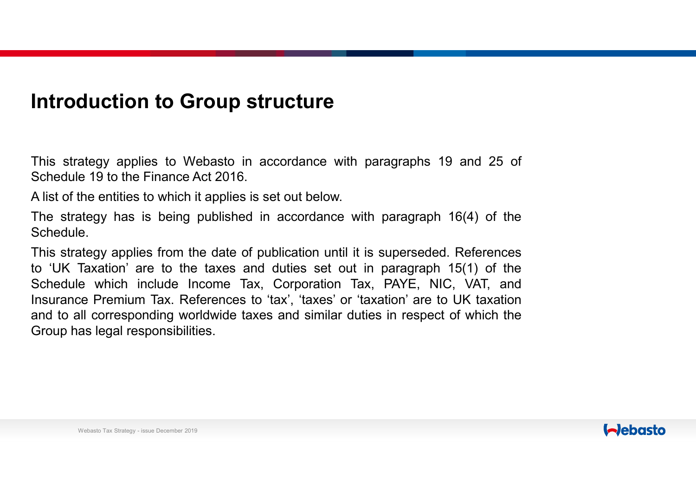### **Introduction to Group structure**

This strategy applies to Webasto in accordance with paragraphs <sup>19</sup> and <sup>25</sup> of Schedule <sup>19</sup> to the Finance Act 2016.

<sup>A</sup> list of the entities to which it applies is set out below.

The strategy has is being published in accordance with paragraph 16(4) of the **Schedule** 

This strategy applies from the date of publication until it is superseded. References to 'UK Taxation' are to the taxes and duties set out in paragraph 15(1) of the Schedule which include Income Tax, Corporation Tax, PAYE, NIC, VAT, and Insurance Premium Tax. References to 'tax', 'taxes' or 'taxation' are to UK taxation and to all corresponding worldwide taxes and similar duties in respect of which the Group has legal responsibilities.

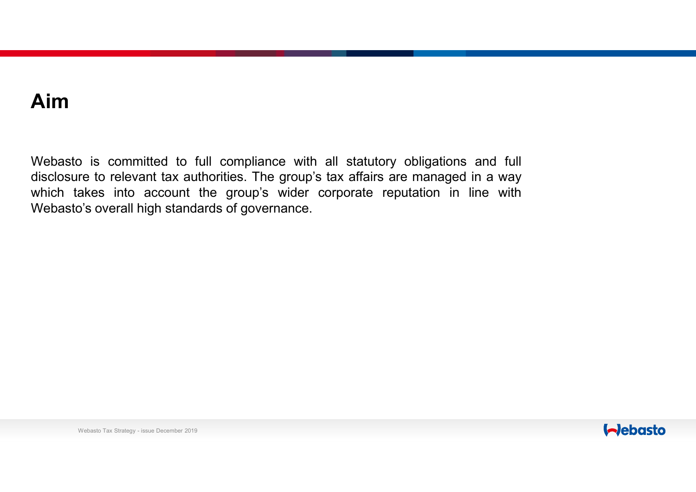# **Aim**

Webasto is committed to full compliance with all statutory obligations and full disclosure to relevant tax authorities. The group's tax affairs are managed in <sup>a</sup> way which takes into account the group's wider corporate reputation in line with Webasto's overall high standards of governance.

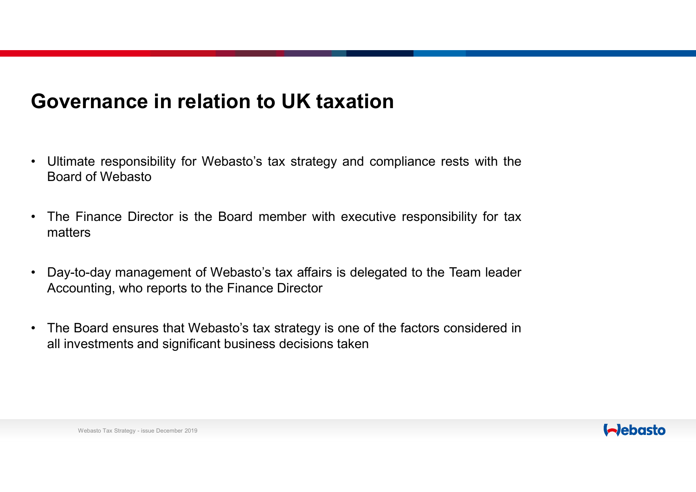# **Governance in relation to UK taxation**

- $\bullet$  Ultimate responsibility for Webasto's tax strategy and compliance rests with the Board of Webasto
- $\bullet$  The Finance Director is the Board member with executive responsibility for tax matters
- $\bullet$  Day-to-day management of Webasto's tax affairs is delegated to the Team leader Accounting, who reports to the Finance Director
- $\bullet$  The Board ensures that Webasto's tax strategy is one of the factors considered in all investments and significant business decisions taken



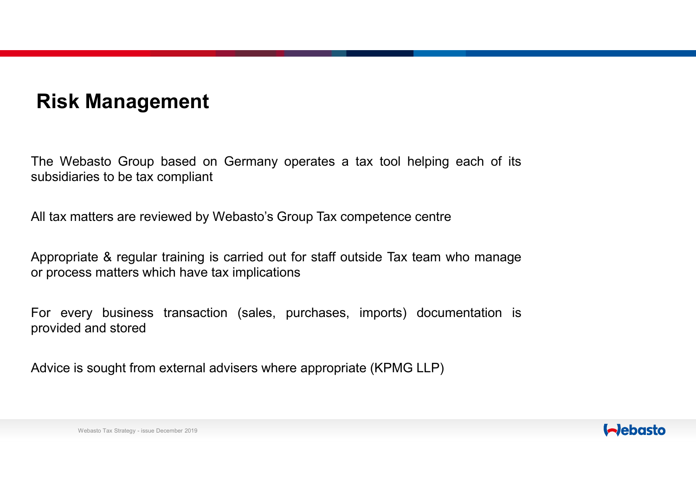# **Risk Management**

The Webasto Group based on Germany operates <sup>a</sup> tax tool helping each of its subsidiaries to be tax compliant

All tax matters are reviewed by Webasto's Group Tax competence centre

Appropriate & regular training is carried out for staff outside Tax team who manage or process matters which have tax implications

For every business transaction (sales, purchases, imports) documentation is provided and stored

Advice is sought from external advisers where appropriate (KPMG LLP)

#### Webasto Tax Strategy - issue December 2019

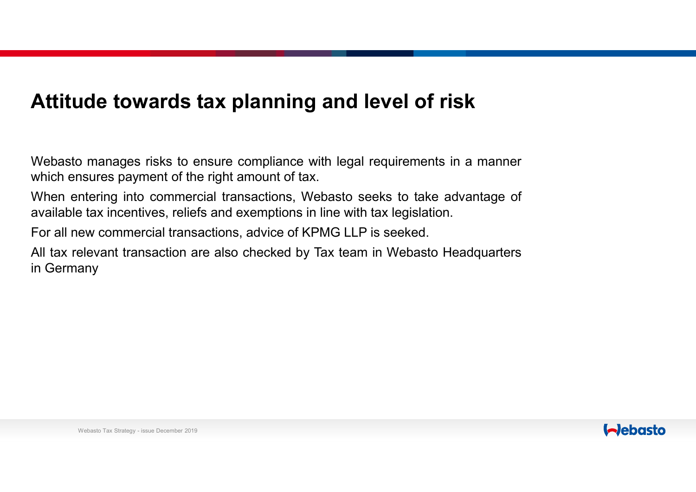# **Attitude towards tax planning and level of risk**

Webasto manages risks to ensure compliance with legal requirements in <sup>a</sup> manner which ensures payment of the right amount of tax.

When entering into commercial transactions, Webasto seeks to take advantage of available tax incentives, reliefs and exemptions in line with tax legislation.

For all new commercial transactions, advice of KPMG LLP is seeked.

All tax relevant transaction are also checked by Tax team in Webasto Headquarters in Germany

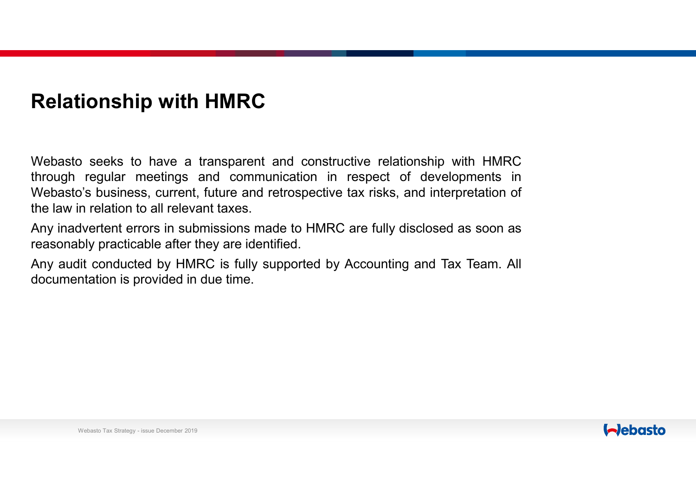# **Relationship with HMRC**

Webasto seeks to have <sup>a</sup> transparent and constructive relationship with HMRC through regular meetings and communication in respect of developments in Webasto's business, current, future and retrospective tax risks, and interpretation of the law in relation to all relevant taxes.

Any inadvertent errors in submissions made to HMRC are fully disclosed as soon as reasonably practicable after they are identified.

Any audit conducted by HMRC is fully supported by Accounting and Tax Team. All documentation is provided in due time.

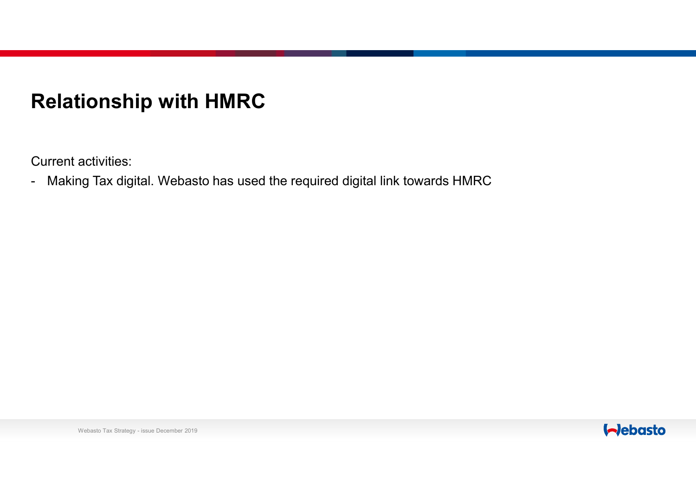# **Relationship with HMRC**

Current activities:

-Making Tax digital. Webasto has used the required digital link towards HMRC

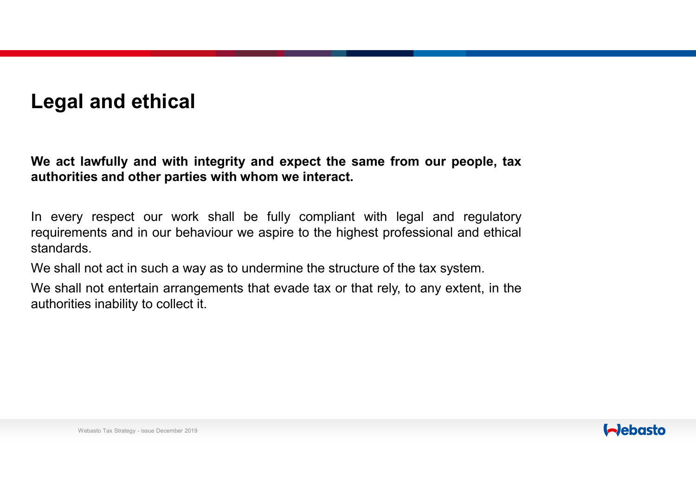# **Legal and ethical**

We act lawfully and with integrity and expect the same from our people, tax **authorities and other parties with whom we interact.**

In every respect our work shall be fully compliant with legal and regulatory requirements and in our behaviour we aspire to the highest professional and ethical standards.

We shall not act in such <sup>a</sup> way as to undermine the structure of the tax system.

We shall not entertain arrangements that evade tax or that rely, to any extent, in the authorities inability to collect it.

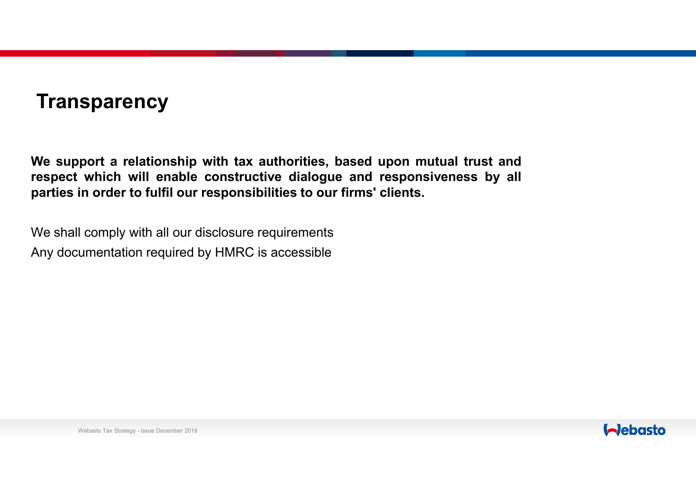# **Transparency**

We support a relationship with tax authorities, based upon mutual trust and **respect which will enable constructive dialogue and responsiveness by all parties in order to fulfil our responsibilities to our firms' clients.**

We shall comply with all our disclosure requirements Any documentation required by HMRC is accessible

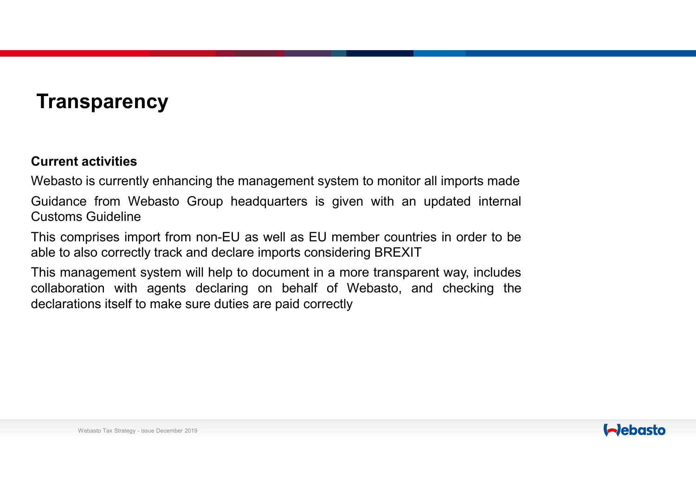# **Transparency**

#### **Current activities**

Webasto is currently enhancing the management system to monitor all imports made Guidance from Webasto Group headquarters is given with an updated internal Customs Guideline

This comprises import from non-EU as well as EU member countries in order to be able to also correctly track and declare imports considering BREXIT

This management system will help to document in <sup>a</sup> more transparent way, includes collaboration with agents declaring on behalf of Webasto, and checking the declarations itself to make sure duties are paid correctly